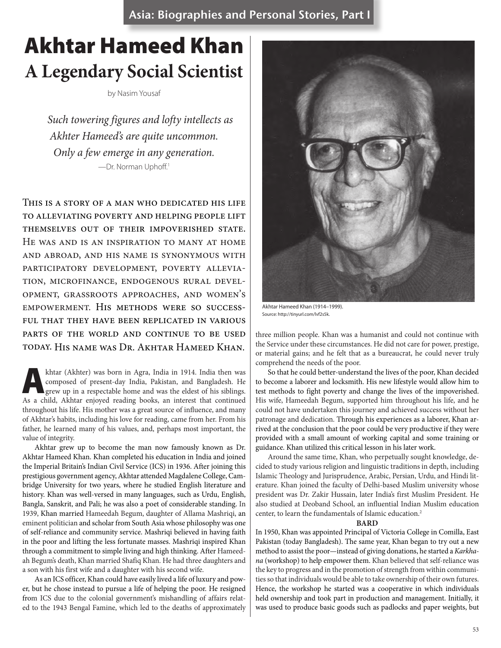Asia: Biographies and Personal Stories, Part I

# Akhtar Hameed Khan **A Legendary Social Scientist**

by Nasim Yousaf

*Such towering figures and lofty intellects as Akhter Hameed's are quite uncommon. Only a few emerge in any generation.* —Dr. Norman Uphoff.1

This is a story of a man who dedicated his life to alleviating poverty and helping people lift themselves out of their impoverished state. He was and is an inspiration to many at home and abroad, and his name is synonymous with participatory development, poverty alleviation, microfinance, endogenous rural development, grassroots approaches, and women's empowerment. His methods were so successful that they have been replicated in various parts of the world and continue to be used today. His name was Dr. Akhtar Hameed Khan.

khtar (Akhter) was born in Agra, India in 1914. India then was<br>
composed of present-day India, Pakistan, and Bangladesh. He<br>
grew up in a respectable home and was the eldest of his siblings.<br>
As a shild a khtar opiqued rea composed of present-day India, Pakistan, and Bangladesh. He As a child, Akhtar enjoyed reading books, an interest that continued throughout his life. His mother was a great source of influence, and many of Akhtar's habits, including his love for reading, came from her. From his father, he learned many of his values, and, perhaps most important, the value of integrity.

Akhtar grew up to become the man now famously known as Dr. Akhtar Hameed Khan. Khan completed his education in India and joined the Imperial Britain's Indian Civil Service (ICS) in 1936. After joining this prestigious government agency, Akhtar attended Magdalene College, Cambridge University for two years, where he studied English literature and history. Khan was well-versed in many languages, such as Urdu, English, Bangla, Sanskrit, and Pali; he was also a poet of considerable standing. In 1939, Khan married Hameedah Begum, daughter of Allama Mashriqi, an eminent politician and scholar from South Asia whose philosophy was one of self-reliance and community service. Mashriqi believed in having faith in the poor and lifting the less fortunate masses. Mashriqi inspired Khan through a commitment to simple living and high thinking. After Hameedah Begum's death, Khan married Shafiq Khan. He had three daughters and a son with his first wife and a daughter with his second wife.

As an ICS officer, Khan could have easily lived a life of luxury and power, but he chose instead to pursue a life of helping the poor. He resigned from ICS due to the colonial government's mishandling of affairs related to the 1943 Bengal Famine, which led to the deaths of approximately



Akhtar Hameed Khan (1914–1999). Source: http://tinyurl.com/lvf2s5k.

three million people. Khan was a humanist and could not continue with the Service under these circumstances. He did not care for power, prestige, or material gains; and he felt that as a bureaucrat, he could never truly comprehend the needs of the poor.

So that he could better-understand the lives of the poor, Khan decided to become a laborer and locksmith. His new lifestyle would allow him to test methods to fight poverty and change the lives of the impoverished. His wife, Hameedah Begum, supported him throughout his life, and he could not have undertaken this journey and achieved success without her patronage and dedication. Through his experiences as a laborer, Khan arrived at the conclusion that the poor could be very productive if they were provided with a small amount of working capital and some training or guidance. Khan utilized this critical lesson in his later work.

Around the same time, Khan, who perpetually sought knowledge, decided to study various religion and linguistic traditions in depth, including Islamic Theology and Jurisprudence, Arabic, Persian, Urdu, and Hindi literature. Khan joined the faculty of Delhi-based Muslim university whose president was Dr. Zakir Hussain, later India's first Muslim President. He also studied at Deoband School, an influential Indian Muslim education center, to learn the fundamentals of Islamic education.<sup>2</sup>

#### **BARD**

In 1950, Khan was appointed Principal of Victoria College in Comilla, East Pakistan (today Bangladesh). The same year, Khan began to try out a new method to assist the poor—instead of giving donations, he started a *Karkhana* (workshop) to help empower them. Khan believed that self-reliance was the key to progress and in the promotion of strength from within communities so that individuals would be able to take ownership of their own futures. Hence, the workshop he started was a cooperative in which individuals held ownership and took part in production and management. Initially, it was used to produce basic goods such as padlocks and paper weights, but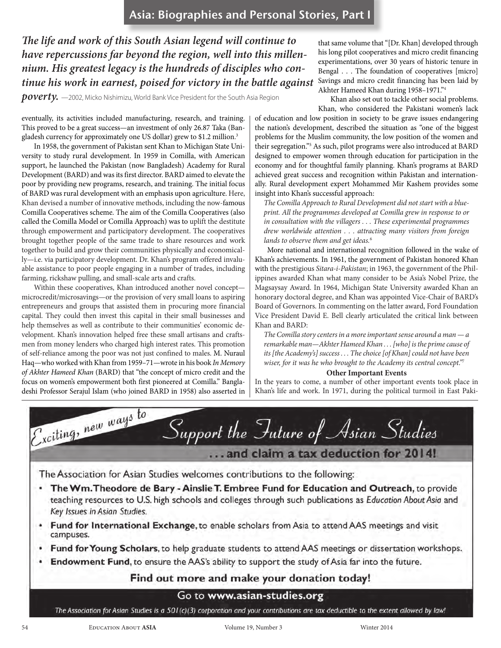*The life and work of this South Asian legend will continue to have repercussions far beyond the region, well into this millennium. His greatest legacy is the hundreds of disciples who continue his work in earnest, poised for victory in the battle against* 

*poverty.* —2002, Micko Nishimizu, World Bank Vice President for the South Asia Region

eventually, its activities included manufacturing, research, and training. This proved to be a great success—an investment of only 26.87 Taka (Bangladesh currency for approximately one US dollar) grew to \$1.2 million. 3

In 1958, the government of Pakistan sent Khan to Michigan State University to study rural development. In 1959 in Comilla, with American support, he launched the Pakistan (now Bangladesh) Academy for Rural Development (BARD) and was its first director. BARD aimed to elevate the poor by providing new programs, research, and training. The initial focus of BARD was rural development with an emphasis upon agriculture. Here, Khan devised a number of innovative methods, including the now-famous Comilla Cooperatives scheme. The aim of the Comilla Cooperatives (also called the Comilla Model or Comilla Approach) was to uplift the destitute through empowerment and participatory development. The cooperatives brought together people of the same trade to share resources and work together to build and grow their communities physically and economically—i.e. via participatory development. Dr. Khan's program offered invaluable assistance to poor people engaging in a number of trades, including farming, rickshaw pulling, and small-scale arts and crafts.

Within these cooperatives, Khan introduced another novel concept microcredit/microsavings—or the provision of very small loans to aspiring entrepreneurs and groups that assisted them in procuring more financial capital. They could then invest this capital in their small businesses and help themselves as well as contribute to their communities' economic development. Khan's innovation helped free these small artisans and craftsmen from money lenders who charged high interest rates. This promotion of self-reliance among the poor was not just confined to males. M. Nuraul Haq—who worked with Khan from 1959–71—wrote in his book *In Memory of Akhter Hameed Khan* (BARD) that "the concept of micro credit and the focus on women's empowerment both first pioneered at Comilla." Bangladeshi Professor Serajul Islam (who joined BARD in 1958) also asserted in

that same volume that "[Dr. Khan] developed through his long pilot cooperatives and micro credit financing experimentations, over 30 years of historic tenure in Bengal . . . The foundation of cooperatives [micro] Savings and micro credit financing has been laid by Akhter Hameed Khan during 1958–1971."4

Khan also set out to tackle other social problems. Khan, who considered the Pakistani women's lack

of education and low position in society to be grave issues endangering the nation's development, described the situation as "one of the biggest problems for the Muslim community, the low position of the women and their segregation."5 As such, pilot programs were also introduced at BARD designed to empower women through education for participation in the economy and for thoughtful family planning. Khan's programs at BARD achieved great success and recognition within Pakistan and internationally. Rural development expert Mohammed Mir Kashem provides some insight into Khan's successful approach:

*The Comilla Approach to Rural Development did not start with a blueprint. All the programmes developed at Comilla grew in response to or in consultation with the villagers . . . These experimental programmes drew worldwide attention . . . attracting many visitors from foreign lands to observe them and get ideas.*<sup>6</sup>

More national and international recognition followed in the wake of Khan's achievements. In 1961, the government of Pakistan honored Khan with the prestigious *Sitara-i-Pakistan*; in 1963, the government of the Philippines awarded Khan what many consider to be Asia's Nobel Prize, the Magsaysay Award. In 1964, Michigan State University awarded Khan an honorary doctoral degree, and Khan was appointed Vice-Chair of BARD's Board of Governors. In commenting on the latter award, Ford Foundation Vice President David E. Bell clearly articulated the critical link between Khan and BARD:

*The Comilla story centers in a more important sense around a man — a remarkable man—Akhter Hameed Khan . . . [who] is the prime cause of its [the Academy's] success . . . The choice [of Khan] could not have been wiser, for it was he who brought to the Academy its central concept."*<sup>7</sup>

#### **Other Important Events**

In the years to come, a number of other important events took place in Khan's life and work. In 1971, during the political turmoil in East Paki-

Exciting, new ways to Support the Inture of Asian Studies ... and claim a tax deduction for 2014! The Association for Asian Studies welcomes contributions to the following: The Wm. Theodore de Bary - Ainslie T. Embree Fund for Education and Outreach, to provide teaching resources to U.S. high schools and colleges through such publications as Education About Asia and Key Issues in Asian Studies. Fund for International Exchange, to enable scholars from Asia to attend AAS meetings and visit campuses. Fund for Young Scholars, to help graduate students to attend AAS meetings or dissertation workshops. Endowment Fund, to ensure the AAS's ability to support the study of Asia far into the future. Find out more and make your donation today! Go to www.asian-studies.org The Association for Asian Studies is a 501(c)(3) corporation and your contributions are tax deductible to the extent allowed by law!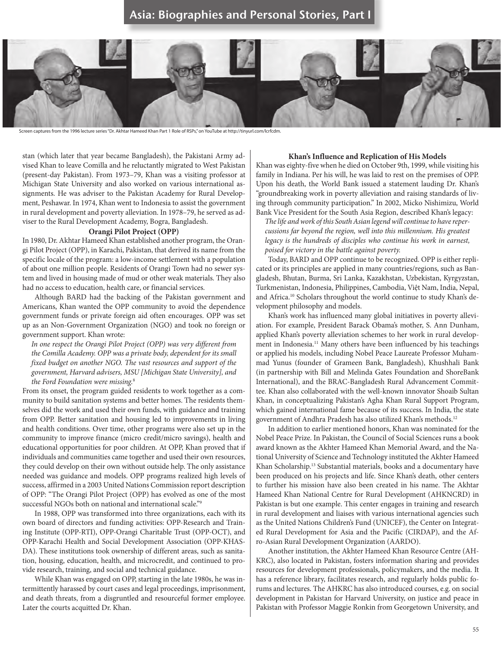### Asia: Biographies and Personal Stories, Part



Screen captures from the 1996 lecture series "Dr. Akhtar Hameed Khan Part 1 Role of RSPs," on YouTube at http://tinyurl.com/lcrfcdm.

stan (which later that year became Bangladesh), the Pakistani Army advised Khan to leave Comilla and he reluctantly migrated to West Pakistan (present-day Pakistan). From 1973–79, Khan was a visiting professor at Michigan State University and also worked on various international assignments. He was adviser to the Pakistan Academy for Rural Development, Peshawar. In 1974, Khan went to Indonesia to assist the government in rural development and poverty alleviation. In 1978–79, he served as adviser to the Rural Development Academy, Bogra, Bangladesh.

#### **Orangi Pilot Project (OPP)**

In 1980, Dr. Akhtar Hameed Khan established another program, the Orangi Pilot Project (OPP), in Karachi, Pakistan, that derived its name from the specific locale of the program: a low-income settlement with a population of about one million people. Residents of Orangi Town had no sewer system and lived in housing made of mud or other weak materials. They also had no access to education, health care, or financial services.

Although BARD had the backing of the Pakistan government and Americans, Khan wanted the OPP community to avoid the dependence government funds or private foreign aid often encourages. OPP was set up as an Non-Government Organization (NGO) and took no foreign or government support. Khan wrote:

*In one respect the Orangi Pilot Project (OPP) was very different from the Comilla Academy. OPP was a private body, dependent for its small fixed budget on another NGO. The vast resources and support of the government, Harvard advisers, MSU [Michigan State University], and the Ford Foundation were missing.*<sup>8</sup>

From its onset, the program guided residents to work together as a community to build sanitation systems and better homes. The residents themselves did the work and used their own funds, with guidance and training from OPP. Better sanitation and housing led to improvements in living and health conditions. Over time, other programs were also set up in the community to improve finance (micro credit/micro savings), health and educational opportunities for poor children. At OPP, Khan proved that if individuals and communities came together and used their own resources, they could develop on their own without outside help. The only assistance needed was guidance and models. OPP programs realized high levels of success, affirmed in a 2003 United Nations Commission report description of OPP: "The Orangi Pilot Project (OPP) has evolved as one of the most successful NGOs both on national and international scale."<sup>9</sup>

In 1988, OPP was transformed into three organizations, each with its own board of directors and funding activities: OPP-Research and Training Institute (OPP-RTI), OPP-Orangi Charitable Trust (OPP-OCT), and OPP-Karachi Health and Social Development Association (OPP-KHAS-DA). These institutions took ownership of different areas, such as sanitation, housing, education, health, and microcredit, and continued to provide research, training, and social and technical guidance.

While Khan was engaged on OPP, starting in the late 1980s, he was intermittently harassed by court cases and legal proceedings, imprisonment, and death threats, from a disgruntled and resourceful former employee. Later the courts acquitted Dr. Khan.

#### **Khan's Influence and Replication of His Models**

Khan was eighty-five when he died on October 9th, 1999, while visiting his family in Indiana. Per his will, he was laid to rest on the premises of OPP. Upon his death, the World Bank issued a statement lauding Dr. Khan's "groundbreaking work in poverty alleviation and raising standards of living through community participation." In 2002, Micko Nishimizu, World Bank Vice President for the South Asia Region, described Khan's legacy:

*The life and work of this South Asian legend will continue to have repercussions far beyond the region, well into this millennium. His greatest legacy is the hundreds of disciples who continue his work in earnest, poised for victory in the battle against poverty.*

Today, BARD and OPP continue to be recognized. OPP is either replicated or its principles are applied in many countries/regions, such as Bangladesh, Bhutan, Burma, Sri Lanka, Kazakhstan, Uzbekistan, Kyrgyzstan, Turkmenistan, Indonesia, Philippines, Cambodia, Việt Nam, India, Nepal, and Africa.10 Scholars throughout the world continue to study Khan's development philosophy and models.

Khan's work has influenced many global initiatives in poverty alleviation. For example, President Barack Obama's mother, S. Ann Dunham, applied Khan's poverty alleviation schemes to her work in rural development in Indonesia.<sup>11</sup> Many others have been influenced by his teachings or applied his models, including Nobel Peace Laureate Professor Muhammad Yunus (founder of Grameen Bank, Bangladesh), Khushhali Bank (in partnership with Bill and Melinda Gates Foundation and ShoreBank International), and the BRAC-Bangladesh Rural Advancement Committee. Khan also collaborated with the well-known innovator Shoaib Sultan Khan, in conceptualizing Pakistan's Agha Khan Rural Support Program, which gained international fame because of its success. In India, the state government of Andhra Pradesh has also utilized Khan's methods.12

In addition to earlier mentioned honors, Khan was nominated for the Nobel Peace Prize. In Pakistan, the Council of Social Sciences runs a book award known as the Akhter Hameed Khan Memorial Award, and the National University of Science and Technology instituted the Akhter Hameed Khan Scholarship.13 Substantial materials, books and a documentary have been produced on his projects and life. Since Khan's death, other centers to further his mission have also been created in his name. The Akhtar Hameed Khan National Centre for Rural Development (AHKNCRD) in Pakistan is but one example. This center engages in training and research in rural development and liaises with various international agencies such as the United Nations Children's Fund (UNICEF), the Center on Integrated Rural Development for Asia and the Pacific (CIRDAP), and the Afro-Asian Rural Development Organization (AARDO).

Another institution, the Akhter Hameed Khan Resource Centre (AH-KRC), also located in Pakistan, fosters information sharing and provides resources for development professionals, policymakers, and the media. It has a reference library, facilitates research, and regularly holds public forums and lectures. The AHKRC has also introduced courses, e.g. on social development in Pakistan for Harvard University, on justice and peace in Pakistan with Professor Maggie Ronkin from Georgetown University, and